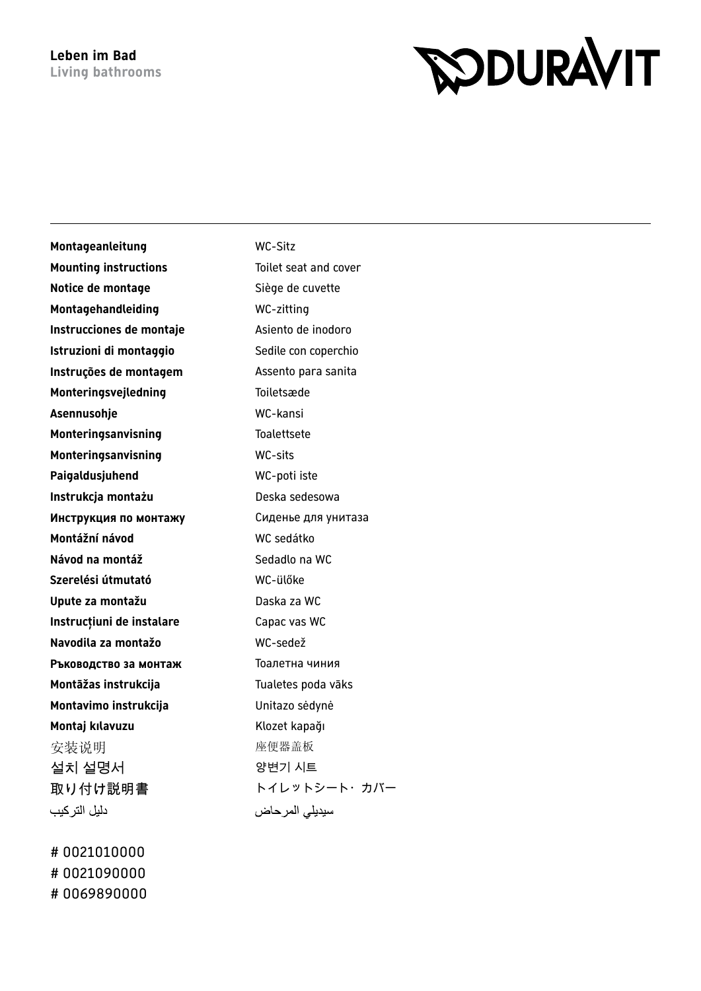## **RODURAVIT**

| Montageanleitung             | <b>WC-Sitz</b>        |
|------------------------------|-----------------------|
| <b>Mounting instructions</b> | Toilet seat and cover |
| Notice de montage            | Siège de cuvette      |
| Montagehandleiding           | WC-zitting            |
| Instrucciones de montaje     | Asiento de inodoro    |
| Istruzioni di montaggio      | Sedile con coperchio  |
| Instruções de montagem       | Assento para sanita   |
| Monteringsvejledning         | Toiletsæde            |
| Asennusohje                  | WC-kansi              |
| Monteringsanvisning          | <b>Toalettsete</b>    |
| Monteringsanvisning          | <b>WC-sits</b>        |
| Paigaldusjuhend              | WC-poti iste          |
| Instrukcja montażu           | Deska sedesowa        |
| Инструкция по монтажу        | Сиденье для унитаза   |
| Montážní návod               | WC sedátko            |
| Návod na montáž              | Sedadlo na WC         |
| Szerelési útmutató           | WC-ülőke              |
| Upute za montažu             | Daska za WC           |
| Instrucțiuni de instalare    | Capac vas WC          |
| Navodila za montažo          | WC-sedež              |
| Ръководство за монтаж        | Тоалетна чиния        |
| Montāžas instrukcija         | Tualetes poda vāks    |
| Montavimo instrukcija        | Unitazo sėdynė        |
| Montaj kılavuzu              | Klozet kapağı         |
| 安装说明                         | 座便器盖板                 |
| 설치 설명서                       | 양변기 시트                |
| 取り付け説明書                      | トイレットシート・カバー          |
| دليل التركيب                 | سيديلى المرحاض        |

# 0021010000 # 0021090000 # 0069890000